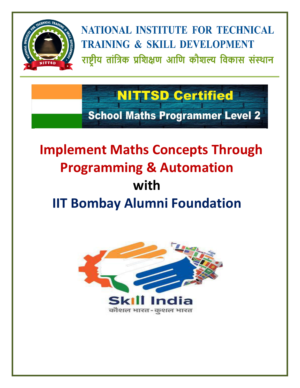

# **NITTSD Certified**

**School Maths Programmer Level 2** 

## **Implement Maths Concepts Through Programming & Automation with IIT Bombay Alumni Foundation**

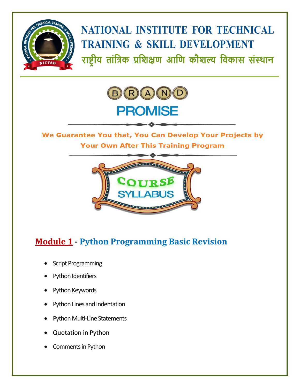



#### We Guarantee You that, You Can Develop Your Projects by **Your Own After This Training Program**



### **Module 1 - Python Programming Basic Revision**

- Script Programming
- Python Identifiers
- Python Keywords
- Python Lines and Indentation
- Python Multi-Line Statements
- Quotation in Python
- Comments in Python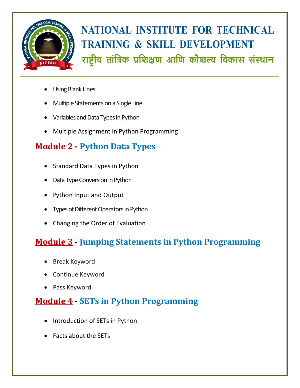

- Using Blank Lines
- Multiple Statements on a Single Line
- Variables and Data Types in Python
- Multiple Assignment in Python Programming

### **Module 2 - Python Data Types**

- Standard Data Types in Python
- Data Type Conversion in Python
- Python Input and Output
- Types of Different Operators in Python
- Changing the Order of Evaluation

### **Module 3 - Jumping Statements in Python Programming**

- Break Keyword
- Continue Keyword
- Pass Keyword

### **Module 4 - SETs in Python Programming**

- Introduction of SETs in Python
- Facts about the SETs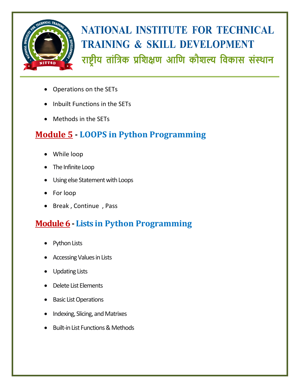

- Operations on the SETs
- Inbuilt Functions in the SETs
- Methods in the SETs

#### **Module 5 - LOOPS in Python Programming**

- While loop
- The Infinite Loop
- Using else Statement with Loops
- For loop
- Break, Continue, Pass

### **Module 6- Lists in Python Programming**

- Python Lists
- Accessing Values in Lists
- Updating Lists
- Delete List Elements
- Basic List Operations
- Indexing, Slicing, and Matrixes
- Built-in List Functions & Methods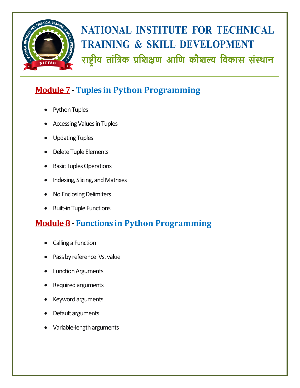

### **Module 7-Tuples in Python Programming**

- Python Tuples
- Accessing Values in Tuples
- Updating Tuples
- Delete Tuple Elements
- Basic Tuples Operations
- Indexing, Slicing, and Matrixes
- No Enclosing Delimiters
- Built-in Tuple Functions

#### **Module 8- Functions in Python Programming**

- Calling a Function
- Pass by reference Vs. value
- Function Arguments
- Required arguments
- Keyword arguments
- Default arguments
- Variable-length arguments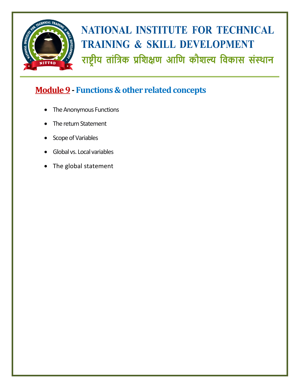

### **Module 9- Functions & other related concepts**

- The Anonymous Functions
- The return Statement
- Scope of Variables
- Global vs. Local variables
- The global statement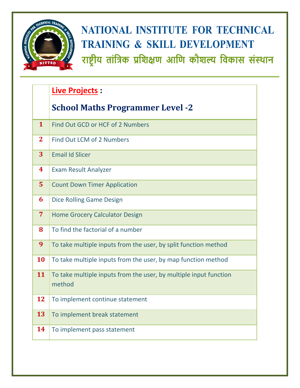

### **Live Projects :**

#### **School Maths Programmer Level -2**

| 1              | Find Out GCD or HCF of 2 Numbers                                            |
|----------------|-----------------------------------------------------------------------------|
| $\overline{2}$ | Find Out LCM of 2 Numbers                                                   |
| 3              | <b>Email Id Slicer</b>                                                      |
| 4              | <b>Exam Result Analyzer</b>                                                 |
| 5              | <b>Count Down Timer Application</b>                                         |
| 6              | Dice Rolling Game Design                                                    |
| $\overline{7}$ | <b>Home Grocery Calculator Design</b>                                       |
| 8              | To find the factorial of a number                                           |
| 9              | To take multiple inputs from the user, by split function method             |
| 10             | To take multiple inputs from the user, by map function method               |
| 11             | To take multiple inputs from the user, by multiple input function<br>method |
| 12             | To implement continue statement                                             |
| 13             | To implement break statement                                                |
| 14             | To implement pass statement                                                 |